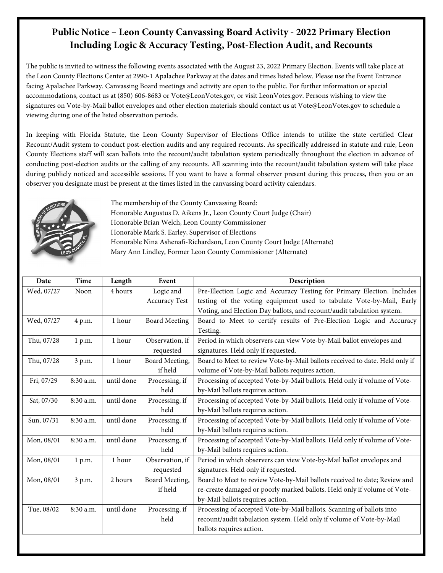## **Public Notice – Leon County Canvassing Board Activity - 2022 Primary Election Including Logic & Accuracy Testing, Post-Election Audit, and Recounts**

The public is invited to witness the following events associated with the August 23, 2022 Primary Election. Events will take place at the Leon County Elections Center at 2990-1 Apalachee Parkway at the dates and times listed below. Please use the Event Entrance facing Apalachee Parkway. Canvassing Board meetings and activity are open to the public. For further information or special accommodations, contact us at (850) 606-8683 or Vote@LeonVotes.gov, or visit LeonVotes.gov. Persons wishing to view the signatures on Vote-by-Mail ballot envelopes and other election materials should contact us at Vote@LeonVotes.gov to schedule a viewing during one of the listed observation periods.

In keeping with Florida Statute, the Leon County Supervisor of Elections Office intends to utilize the state certified Clear Recount/Audit system to conduct post-election audits and any required recounts. As specifically addressed in statute and rule, Leon County Elections staff will scan ballots into the recount/audit tabulation system periodically throughout the election in advance of conducting post-election audits or the calling of any recounts. All scanning into the recount/audit tabulation system will take place during publicly noticed and accessible sessions. If you want to have a formal observer present during this process, then you or an observer you designate must be present at the times listed in the canvassing board activity calendars.



The membership of the County Canvassing Board: Honorable Augustus D. Aikens Jr., Leon County Court Judge (Chair) Honorable Brian Welch, Leon County Commissioner Honorable Mark S. Earley, Supervisor of Elections Honorable Nina Ashenafi-Richardson, Leon County Court Judge (Alternate) Mary Ann Lindley, Former Leon County Commissioner (Alternate)

| Date       | Time      | Length     | Event                | Description                                                                 |
|------------|-----------|------------|----------------------|-----------------------------------------------------------------------------|
| Wed, 07/27 | Noon      | 4 hours    | Logic and            | Pre-Election Logic and Accuracy Testing for Primary Election. Includes      |
|            |           |            | <b>Accuracy Test</b> | testing of the voting equipment used to tabulate Vote-by-Mail, Early        |
|            |           |            |                      | Voting, and Election Day ballots, and recount/audit tabulation system.      |
| Wed, 07/27 | 4 p.m.    | 1 hour     | <b>Board Meeting</b> | Board to Meet to certify results of Pre-Election Logic and Accuracy         |
|            |           |            |                      | Testing.                                                                    |
| Thu, 07/28 | 1 p.m.    | 1 hour     | Observation, if      | Period in which observers can view Vote-by-Mail ballot envelopes and        |
|            |           |            | requested            | signatures. Held only if requested.                                         |
| Thu, 07/28 | 3 p.m.    | 1 hour     | Board Meeting,       | Board to Meet to review Vote-by-Mail ballots received to date. Held only if |
|            |           |            | if held              | volume of Vote-by-Mail ballots requires action.                             |
| Fri, 07/29 | 8:30 a.m. | until done | Processing, if       | Processing of accepted Vote-by-Mail ballots. Held only if volume of Vote-   |
|            |           |            | held                 | by-Mail ballots requires action.                                            |
| Sat, 07/30 | 8:30 a.m. | until done | Processing, if       | Processing of accepted Vote-by-Mail ballots. Held only if volume of Vote-   |
|            |           |            | held                 | by-Mail ballots requires action.                                            |
| Sun, 07/31 | 8:30 a.m. | until done | Processing, if       | Processing of accepted Vote-by-Mail ballots. Held only if volume of Vote-   |
|            |           |            | held                 | by-Mail ballots requires action.                                            |
| Mon, 08/01 | 8:30 a.m. | until done | Processing, if       | Processing of accepted Vote-by-Mail ballots. Held only if volume of Vote-   |
|            |           |            | held                 | by-Mail ballots requires action.                                            |
| Mon, 08/01 | 1 p.m.    | 1 hour     | Observation, if      | Period in which observers can view Vote-by-Mail ballot envelopes and        |
|            |           |            | requested            | signatures. Held only if requested.                                         |
| Mon, 08/01 | 3 p.m.    | 2 hours    | Board Meeting,       | Board to Meet to review Vote-by-Mail ballots received to date; Review and   |
|            |           |            | if held              | re-create damaged or poorly marked ballots. Held only if volume of Vote-    |
|            |           |            |                      | by-Mail ballots requires action.                                            |
| Tue, 08/02 | 8:30 a.m. | until done | Processing, if       | Processing of accepted Vote-by-Mail ballots. Scanning of ballots into       |
|            |           |            | held                 | recount/audit tabulation system. Held only if volume of Vote-by-Mail        |
|            |           |            |                      | ballots requires action.                                                    |
|            |           |            |                      |                                                                             |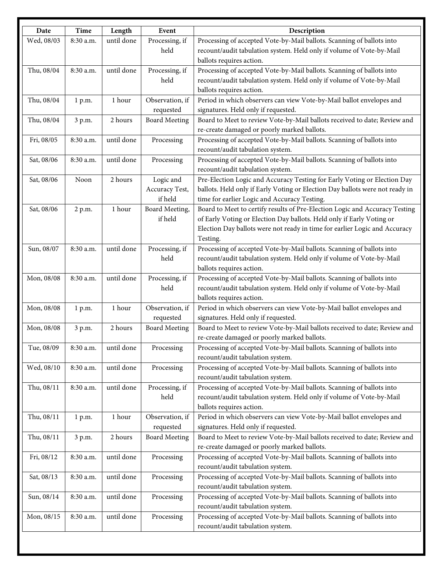| Date       | Time      | Length     | Event                | Description                                                                  |
|------------|-----------|------------|----------------------|------------------------------------------------------------------------------|
| Wed, 08/03 | 8:30 a.m. | until done | Processing, if       | Processing of accepted Vote-by-Mail ballots. Scanning of ballots into        |
|            |           |            | held                 | recount/audit tabulation system. Held only if volume of Vote-by-Mail         |
|            |           |            |                      | ballots requires action.                                                     |
| Thu, 08/04 | 8:30 a.m. | until done | Processing, if       | Processing of accepted Vote-by-Mail ballots. Scanning of ballots into        |
|            |           |            | held                 | recount/audit tabulation system. Held only if volume of Vote-by-Mail         |
|            |           |            |                      | ballots requires action.                                                     |
| Thu, 08/04 | 1 p.m.    | 1 hour     | Observation, if      | Period in which observers can view Vote-by-Mail ballot envelopes and         |
|            |           |            | requested            | signatures. Held only if requested.                                          |
| Thu, 08/04 | 3 p.m.    | 2 hours    | <b>Board Meeting</b> | Board to Meet to review Vote-by-Mail ballots received to date; Review and    |
|            |           |            |                      | re-create damaged or poorly marked ballots.                                  |
| Fri, 08/05 | 8:30 a.m. | until done | Processing           | Processing of accepted Vote-by-Mail ballots. Scanning of ballots into        |
|            |           |            |                      | recount/audit tabulation system.                                             |
| Sat, 08/06 | 8:30 a.m. | until done | Processing           | Processing of accepted Vote-by-Mail ballots. Scanning of ballots into        |
|            |           |            |                      | recount/audit tabulation system.                                             |
| Sat, 08/06 | Noon      | 2 hours    | Logic and            | Pre-Election Logic and Accuracy Testing for Early Voting or Election Day     |
|            |           |            | Accuracy Test,       | ballots. Held only if Early Voting or Election Day ballots were not ready in |
|            |           |            | if held              | time for earlier Logic and Accuracy Testing.                                 |
| Sat, 08/06 | 2 p.m.    | 1 hour     | Board Meeting,       | Board to Meet to certify results of Pre-Election Logic and Accuracy Testing  |
|            |           |            | if held              | of Early Voting or Election Day ballots. Held only if Early Voting or        |
|            |           |            |                      | Election Day ballots were not ready in time for earlier Logic and Accuracy   |
|            |           |            |                      | Testing.                                                                     |
| Sun, 08/07 | 8:30 a.m. | until done | Processing, if       | Processing of accepted Vote-by-Mail ballots. Scanning of ballots into        |
|            |           |            | held                 | recount/audit tabulation system. Held only if volume of Vote-by-Mail         |
|            |           |            |                      | ballots requires action.                                                     |
| Mon, 08/08 | 8:30 a.m. | until done | Processing, if       | Processing of accepted Vote-by-Mail ballots. Scanning of ballots into        |
|            |           |            | held                 | recount/audit tabulation system. Held only if volume of Vote-by-Mail         |
|            |           |            |                      | ballots requires action.                                                     |
| Mon, 08/08 | 1 p.m.    | 1 hour     | Observation, if      | Period in which observers can view Vote-by-Mail ballot envelopes and         |
|            |           |            | requested            | signatures. Held only if requested.                                          |
| Mon, 08/08 | 3 p.m.    | 2 hours    | <b>Board Meeting</b> | Board to Meet to review Vote-by-Mail ballots received to date; Review and    |
|            |           |            |                      | re-create damaged or poorly marked ballots.                                  |
| Tue, 08/09 | 8:30 a.m. | until done | Processing           | Processing of accepted Vote-by-Mail ballots. Scanning of ballots into        |
|            |           |            |                      | recount/audit tabulation system.                                             |
| Wed, 08/10 | 8:30 a.m. | until done | Processing           | Processing of accepted Vote-by-Mail ballots. Scanning of ballots into        |
|            |           |            |                      | recount/audit tabulation system.                                             |
| Thu, 08/11 | 8:30 a.m. | until done | Processing, if       | Processing of accepted Vote-by-Mail ballots. Scanning of ballots into        |
|            |           |            | held                 | recount/audit tabulation system. Held only if volume of Vote-by-Mail         |
|            |           |            |                      | ballots requires action.                                                     |
| Thu, 08/11 | 1 p.m.    | 1 hour     | Observation, if      | Period in which observers can view Vote-by-Mail ballot envelopes and         |
|            |           |            | requested            | signatures. Held only if requested.                                          |
| Thu, 08/11 | 3 p.m.    | 2 hours    | <b>Board Meeting</b> | Board to Meet to review Vote-by-Mail ballots received to date; Review and    |
|            |           |            |                      | re-create damaged or poorly marked ballots.                                  |
| Fri, 08/12 | 8:30 a.m. | until done | Processing           | Processing of accepted Vote-by-Mail ballots. Scanning of ballots into        |
|            |           |            |                      | recount/audit tabulation system.                                             |
| Sat, 08/13 | 8:30 a.m. | until done | Processing           | Processing of accepted Vote-by-Mail ballots. Scanning of ballots into        |
|            |           |            |                      | recount/audit tabulation system.                                             |
| Sun, 08/14 | 8:30 a.m. | until done | Processing           | Processing of accepted Vote-by-Mail ballots. Scanning of ballots into        |
|            |           |            |                      | recount/audit tabulation system.                                             |
| Mon, 08/15 | 8:30 a.m. | until done | Processing           | Processing of accepted Vote-by-Mail ballots. Scanning of ballots into        |
|            |           |            |                      | recount/audit tabulation system.                                             |
|            |           |            |                      |                                                                              |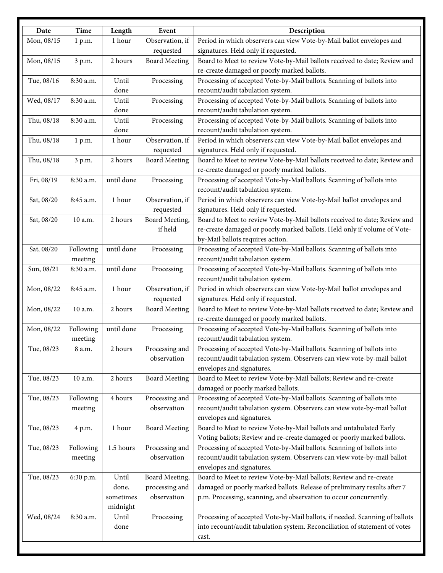| Date       | <b>Time</b> | Length     | Event                | Description                                                                 |
|------------|-------------|------------|----------------------|-----------------------------------------------------------------------------|
| Mon, 08/15 | 1 p.m.      | 1 hour     | Observation, if      | Period in which observers can view Vote-by-Mail ballot envelopes and        |
|            |             |            | requested            | signatures. Held only if requested.                                         |
| Mon, 08/15 | 3 p.m.      | 2 hours    | <b>Board Meeting</b> | Board to Meet to review Vote-by-Mail ballots received to date; Review and   |
|            |             |            |                      | re-create damaged or poorly marked ballots.                                 |
| Tue, 08/16 | 8:30 a.m.   | Until      | Processing           | Processing of accepted Vote-by-Mail ballots. Scanning of ballots into       |
|            |             | done       |                      | recount/audit tabulation system.                                            |
| Wed, 08/17 | 8:30 a.m.   | Until      | Processing           | Processing of accepted Vote-by-Mail ballots. Scanning of ballots into       |
|            |             | done       |                      | recount/audit tabulation system.                                            |
| Thu, 08/18 | 8:30 a.m.   | Until      | Processing           | Processing of accepted Vote-by-Mail ballots. Scanning of ballots into       |
|            |             | done       |                      | recount/audit tabulation system.                                            |
| Thu, 08/18 | 1 p.m.      | 1 hour     | Observation, if      | Period in which observers can view Vote-by-Mail ballot envelopes and        |
|            |             |            | requested            | signatures. Held only if requested.                                         |
| Thu, 08/18 | 3 p.m.      | 2 hours    | <b>Board Meeting</b> | Board to Meet to review Vote-by-Mail ballots received to date; Review and   |
|            |             |            |                      | re-create damaged or poorly marked ballots.                                 |
| Fri, 08/19 | 8:30 a.m.   | until done | Processing           | Processing of accepted Vote-by-Mail ballots. Scanning of ballots into       |
|            |             |            |                      | recount/audit tabulation system.                                            |
| Sat, 08/20 | 8:45 a.m.   | 1 hour     | Observation, if      | Period in which observers can view Vote-by-Mail ballot envelopes and        |
|            |             |            | requested            | signatures. Held only if requested.                                         |
| Sat, 08/20 | 10 a.m.     | 2 hours    | Board Meeting,       | Board to Meet to review Vote-by-Mail ballots received to date; Review and   |
|            |             |            | if held              | re-create damaged or poorly marked ballots. Held only if volume of Vote-    |
|            |             |            |                      | by-Mail ballots requires action.                                            |
| Sat, 08/20 | Following   | until done | Processing           | Processing of accepted Vote-by-Mail ballots. Scanning of ballots into       |
|            | meeting     |            |                      | recount/audit tabulation system.                                            |
| Sun, 08/21 | 8:30 a.m.   | until done | Processing           | Processing of accepted Vote-by-Mail ballots. Scanning of ballots into       |
|            |             |            |                      | recount/audit tabulation system.                                            |
| Mon, 08/22 | 8:45 a.m.   | 1 hour     | Observation, if      | Period in which observers can view Vote-by-Mail ballot envelopes and        |
|            |             |            | requested            | signatures. Held only if requested.                                         |
| Mon, 08/22 | 10 a.m.     | 2 hours    | <b>Board Meeting</b> | Board to Meet to review Vote-by-Mail ballots received to date; Review and   |
|            |             |            |                      | re-create damaged or poorly marked ballots.                                 |
| Mon, 08/22 | Following   | until done | Processing           | Processing of accepted Vote-by-Mail ballots. Scanning of ballots into       |
|            | meeting     |            |                      | recount/audit tabulation system.                                            |
| Tue, 08/23 | 8 a.m.      | 2 hours    | Processing and       | Processing of accepted Vote-by-Mail ballots. Scanning of ballots into       |
|            |             |            | observation          | recount/audit tabulation system. Observers can view vote-by-mail ballot     |
|            |             |            |                      | envelopes and signatures.                                                   |
| Tue, 08/23 | 10 a.m.     | 2 hours    | <b>Board Meeting</b> | Board to Meet to review Vote-by-Mail ballots; Review and re-create          |
|            |             |            |                      | damaged or poorly marked ballots;                                           |
| Tue, 08/23 | Following   | 4 hours    | Processing and       | Processing of accepted Vote-by-Mail ballots. Scanning of ballots into       |
|            | meeting     |            | observation          | recount/audit tabulation system. Observers can view vote-by-mail ballot     |
|            |             |            |                      | envelopes and signatures.                                                   |
| Tue, 08/23 | 4 p.m.      | 1 hour     | <b>Board Meeting</b> | Board to Meet to review Vote-by-Mail ballots and untabulated Early          |
|            |             |            |                      | Voting ballots; Review and re-create damaged or poorly marked ballots.      |
| Tue, 08/23 | Following   | 1.5 hours  | Processing and       | Processing of accepted Vote-by-Mail ballots. Scanning of ballots into       |
|            | meeting     |            | observation          | recount/audit tabulation system. Observers can view vote-by-mail ballot     |
|            |             |            |                      | envelopes and signatures.                                                   |
| Tue, 08/23 | 6:30 p.m.   | Until      | Board Meeting,       | Board to Meet to review Vote-by-Mail ballots; Review and re-create          |
|            |             | done,      | processing and       | damaged or poorly marked ballots. Release of preliminary results after 7    |
|            |             | sometimes  | observation          | p.m. Processing, scanning, and observation to occur concurrently.           |
|            |             | midnight   |                      |                                                                             |
| Wed, 08/24 | 8:30 a.m.   | Until      | Processing           | Processing of accepted Vote-by-Mail ballots, if needed. Scanning of ballots |
|            |             | done       |                      | into recount/audit tabulation system. Reconciliation of statement of votes  |
|            |             |            |                      | cast.                                                                       |